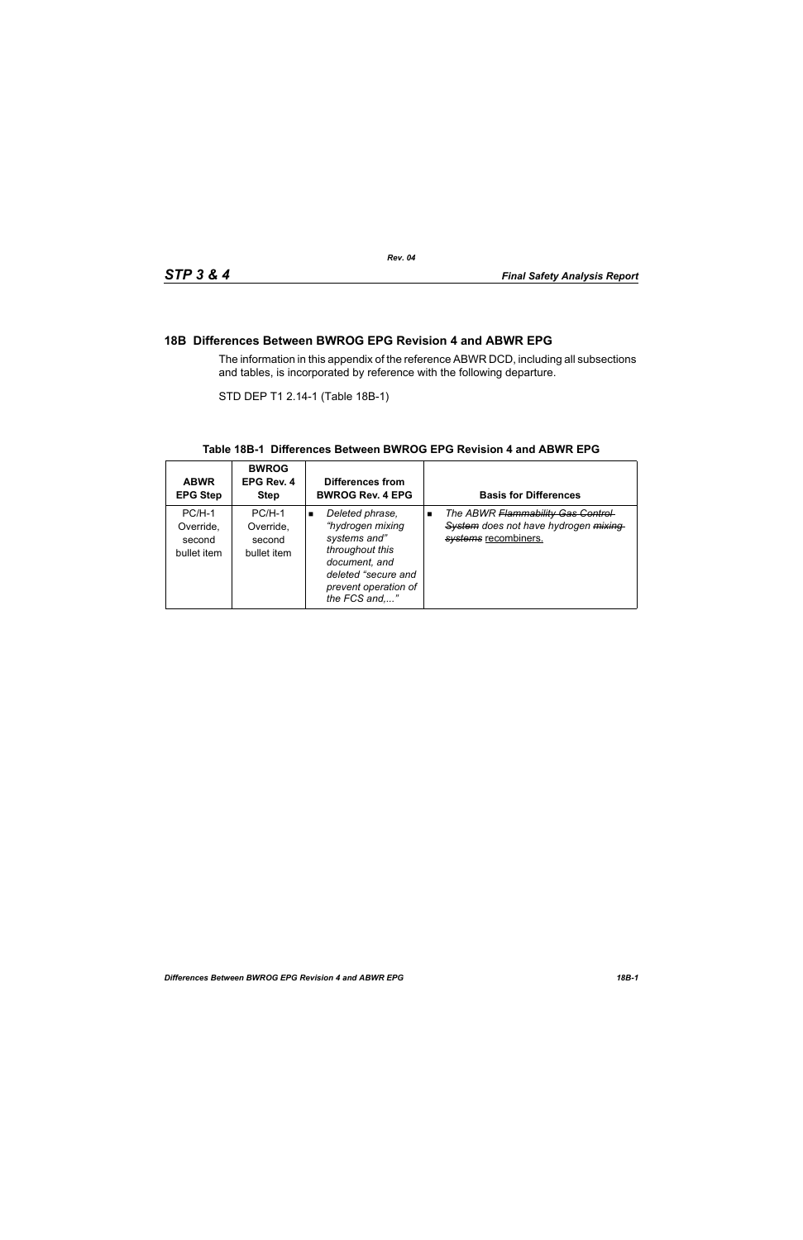### **18B Differences Between BWROG EPG Revision 4 and ABWR EPG**

The information in this appendix of the reference ABWR DCD, including all subsections and tables, is incorporated by reference with the following departure.

STD DEP T1 2.14-1 (Table 18B-1)

#### **Table 18B-1 Differences Between BWROG EPG Revision 4 and ABWR EPG**

| <b>ABWR</b><br><b>EPG Step</b>                 | <b>BWROG</b><br>EPG Rev. 4<br><b>Step</b>      | Differences from<br><b>BWROG Rev. 4 EPG</b>                                                                                                                               | <b>Basis for Differences</b>                                                                                        |
|------------------------------------------------|------------------------------------------------|---------------------------------------------------------------------------------------------------------------------------------------------------------------------------|---------------------------------------------------------------------------------------------------------------------|
| $PC/H-1$<br>Override,<br>second<br>bullet item | $PC/H-1$<br>Override,<br>second<br>bullet item | Deleted phrase,<br>$\blacksquare$<br>"hydrogen mixing<br>systems and"<br>throughout this<br>document, and<br>deleted "secure and<br>prevent operation of<br>the FCS and," | The ABWR Flammability Gas Control<br>$\blacksquare$<br>System does not have hydrogen mixing<br>systems recombiners. |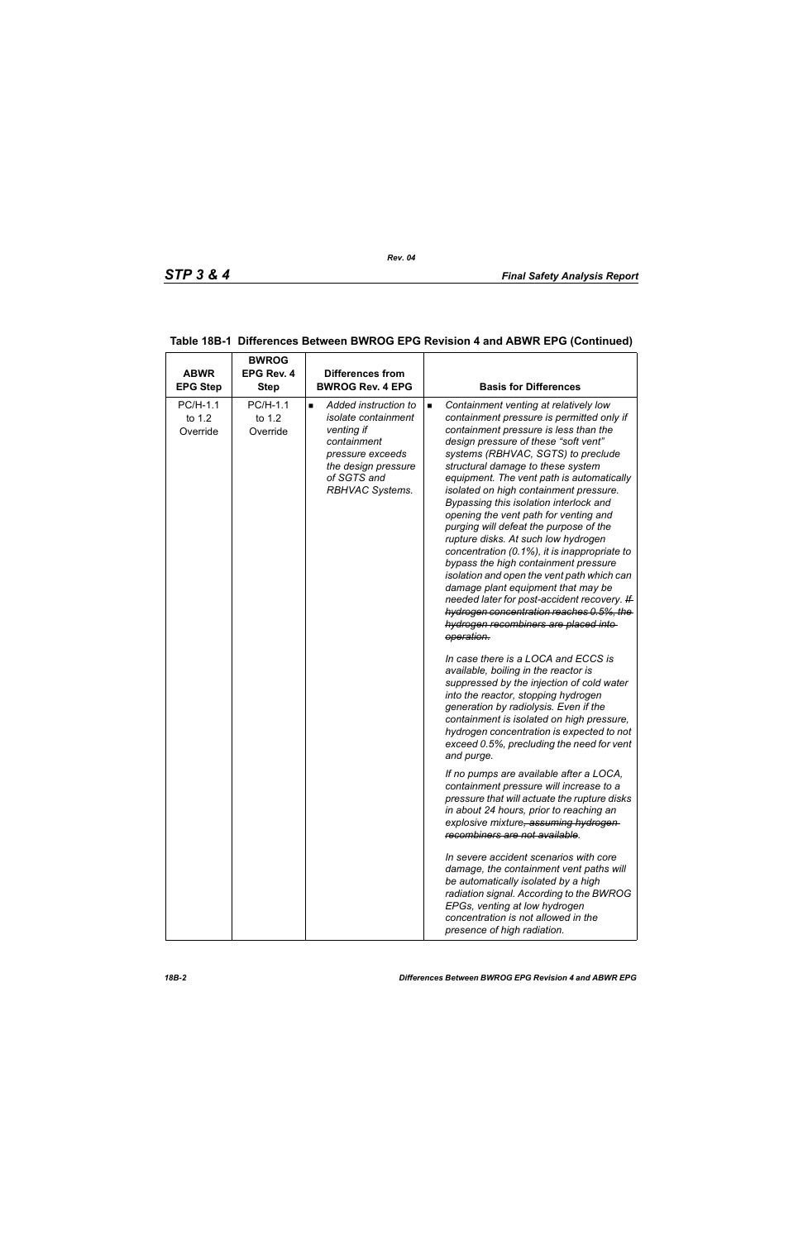| <b>ABWR</b><br><b>EPG Step</b> | <b>BWROG</b><br>EPG Rev. 4<br><b>Step</b> | <b>Differences from</b><br><b>BWROG Rev. 4 EPG</b>                                                                                                                      | <b>Basis for Differences</b>                                                                                                                                                                                                                                                                                                                                                                                                                                                                                                                                                                                                                                                                                                                                                                                                                              |
|--------------------------------|-------------------------------------------|-------------------------------------------------------------------------------------------------------------------------------------------------------------------------|-----------------------------------------------------------------------------------------------------------------------------------------------------------------------------------------------------------------------------------------------------------------------------------------------------------------------------------------------------------------------------------------------------------------------------------------------------------------------------------------------------------------------------------------------------------------------------------------------------------------------------------------------------------------------------------------------------------------------------------------------------------------------------------------------------------------------------------------------------------|
| PC/H-1.1<br>to 1.2<br>Override | PC/H-1.1<br>to 1.2<br>Override            | Added instruction to<br>$\blacksquare$<br>isolate containment<br>venting if<br>containment<br>pressure exceeds<br>the design pressure<br>of SGTS and<br>RBHVAC Systems. | Containment venting at relatively low<br>$\blacksquare$<br>containment pressure is permitted only if<br>containment pressure is less than the<br>design pressure of these "soft vent"<br>systems (RBHVAC, SGTS) to preclude<br>structural damage to these system<br>equipment. The vent path is automatically<br>isolated on high containment pressure.<br>Bypassing this isolation interlock and<br>opening the vent path for venting and<br>purging will defeat the purpose of the<br>rupture disks. At such low hydrogen<br>concentration (0.1%), it is inappropriate to<br>bypass the high containment pressure<br>isolation and open the vent path which can<br>damage plant equipment that may be<br>needed later for post-accident recovery. If<br>hydrogen concentration reaches 0.5%, the<br>hydrogen recombiners are placed into-<br>operation. |
|                                |                                           |                                                                                                                                                                         | In case there is a LOCA and ECCS is<br>available, boiling in the reactor is<br>suppressed by the injection of cold water<br>into the reactor, stopping hydrogen<br>generation by radiolysis. Even if the<br>containment is isolated on high pressure,<br>hydrogen concentration is expected to not<br>exceed 0.5%, precluding the need for vent<br>and purge.                                                                                                                                                                                                                                                                                                                                                                                                                                                                                             |
|                                |                                           |                                                                                                                                                                         | If no pumps are available after a LOCA,<br>containment pressure will increase to a<br>pressure that will actuate the rupture disks<br>in about 24 hours, prior to reaching an<br>explosive mixture, assuming hydrogen-<br>recombiners are not available.                                                                                                                                                                                                                                                                                                                                                                                                                                                                                                                                                                                                  |
|                                |                                           |                                                                                                                                                                         | In severe accident scenarios with core<br>damage, the containment vent paths will<br>be automatically isolated by a high<br>radiation signal. According to the BWROG<br>EPGs, venting at low hydrogen<br>concentration is not allowed in the<br>presence of high radiation.                                                                                                                                                                                                                                                                                                                                                                                                                                                                                                                                                                               |

### **Table 18B-1 Differences Between BWROG EPG Revision 4 and ABWR EPG (Continued)**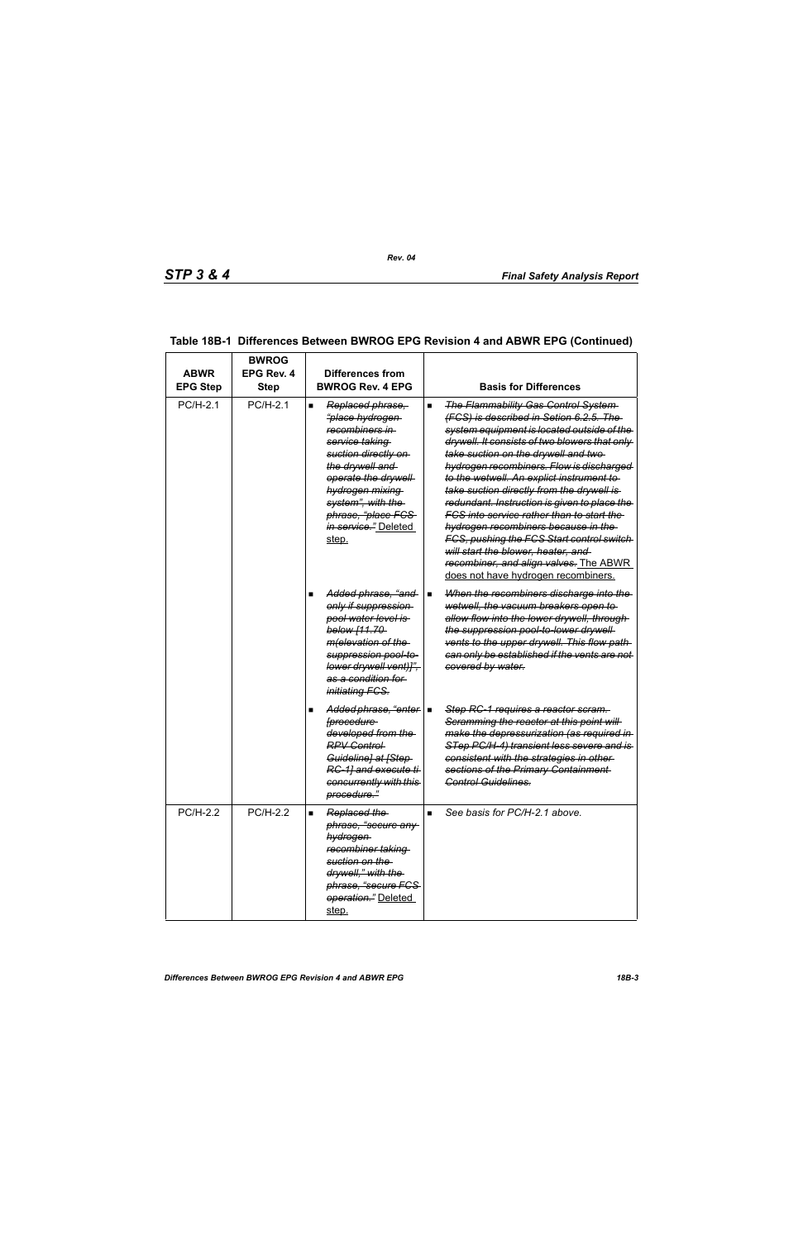| <b>ABWR</b><br><b>EPG Step</b> | <b>BWROG</b><br>EPG Rev. 4<br><b>Step</b> | Differences from<br><b>BWROG Rev. 4 EPG</b>                                                                                                                                                                                                                                   | <b>Basis for Differences</b>                                                                                                                                                                                                                                                                                                                                                                                                                                                                                                                                                                                                                                                       |
|--------------------------------|-------------------------------------------|-------------------------------------------------------------------------------------------------------------------------------------------------------------------------------------------------------------------------------------------------------------------------------|------------------------------------------------------------------------------------------------------------------------------------------------------------------------------------------------------------------------------------------------------------------------------------------------------------------------------------------------------------------------------------------------------------------------------------------------------------------------------------------------------------------------------------------------------------------------------------------------------------------------------------------------------------------------------------|
| $PC/H-2.1$                     | PC/H-2.1                                  | Replaced phrase,<br>$\blacksquare$<br><del>"place hydrogen-</del><br>recombiners in<br>service taking<br>suction directly on<br>the drywell and<br>operate the drywell<br>hydrogen mixing<br>system", with the<br>phrase, "place FCS<br><i>in service.</i> " Deleted<br>step. | <b>The Flammability Gas Control System-</b><br>(FCS) is described in Setion 6.2.5. The<br>system equipment is located outside of the<br>drywell. It consists of two blowers that only<br>take suction on the drywell and two-<br>hydrogen recombiners. Flow is discharged<br>to the wetwell. An explict instrument to<br>take suction directly from the drywell is<br>redundant. Instruction is given to place the<br><u>FCS into service rather than to start the </u><br>hydrogen recombiners because in the<br>FCS, pushing the FCS Start control switch<br>will start the blower, heater, and<br>recombiner, and align valves. The ABWR<br>does not have hydrogen recombiners. |
|                                |                                           | Added phrase, "and-<br>only if suppression<br>pool water level is<br>below [11.70-<br>m(elevation of the<br>suppression pool-to-<br>lower drywell vent)]",<br>as a condition for<br><i>initiating FCS.</i>                                                                    | When the recombiners discharge into the<br>п<br>wetwell, the vacuum breakers open to<br>allow flow into the lower drywell, through-<br>the suppression pool-to-lower drywell-<br>vents to the upper drywell. This flow path<br>can only be established if the vents are not<br>covered by water.                                                                                                                                                                                                                                                                                                                                                                                   |
|                                |                                           | Added phrase, "enter   ■<br><i><u><b>[procedure</b></u></i><br>developed from the<br><b>RPV Control</b><br>Guideline] at [Step-<br>RC-1] and execute ti<br>concurrently with this<br>procedure."                                                                              | Step RC-1 requires a reactor scram.<br>Scramming the reactor at this point will<br>make the depressurization (as required in<br>STep PC/H-4) transient less severe and is<br>consistent with the strategies in other<br>sections of the Primary Containment<br>Control Guidelines.                                                                                                                                                                                                                                                                                                                                                                                                 |
| <b>PC/H-2.2</b>                | PC/H-2.2                                  | Replaced the<br>■<br>phrase, "secure any<br>hydrogen<br>recombiner taking<br>suction on the<br>drywell," with the<br>phrase, "secure FCS-<br>operation." Deleted<br>step.                                                                                                     | See basis for PC/H-2.1 above.<br>$\blacksquare$                                                                                                                                                                                                                                                                                                                                                                                                                                                                                                                                                                                                                                    |

# **Table 18B-1 Differences Between BWROG EPG Revision 4 and ABWR EPG (Continued)**